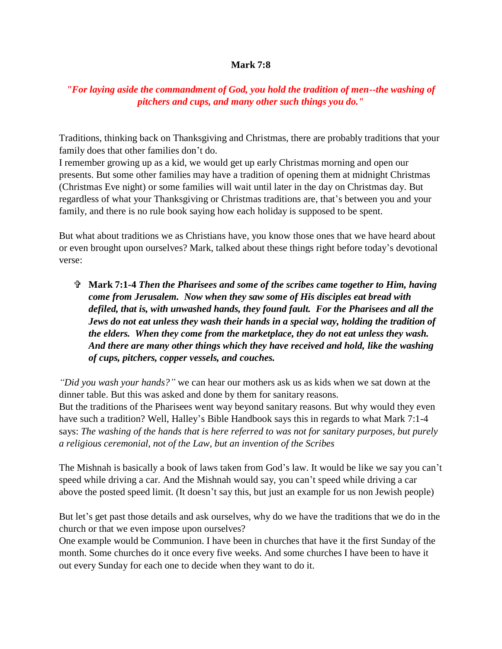## **Mark 7:8**

## *"For laying aside the commandment of God, you hold the tradition of men--the washing of pitchers and cups, and many other such things you do."*

Traditions, thinking back on Thanksgiving and Christmas, there are probably traditions that your family does that other families don't do.

I remember growing up as a kid, we would get up early Christmas morning and open our presents. But some other families may have a tradition of opening them at midnight Christmas (Christmas Eve night) or some families will wait until later in the day on Christmas day. But regardless of what your Thanksgiving or Christmas traditions are, that's between you and your family, and there is no rule book saying how each holiday is supposed to be spent.

But what about traditions we as Christians have, you know those ones that we have heard about or even brought upon ourselves? Mark, talked about these things right before today's devotional verse:

 **Mark 7:1-4** *Then the Pharisees and some of the scribes came together to Him, having come from Jerusalem. Now when they saw some of His disciples eat bread with defiled, that is, with unwashed hands, they found fault. For the Pharisees and all the Jews do not eat unless they wash their hands in a special way, holding the tradition of the elders. When they come from the marketplace, they do not eat unless they wash. And there are many other things which they have received and hold, like the washing of cups, pitchers, copper vessels, and couches.*

*"Did you wash your hands?"* we can hear our mothers ask us as kids when we sat down at the dinner table. But this was asked and done by them for sanitary reasons. But the traditions of the Pharisees went way beyond sanitary reasons. But why would they even have such a tradition? Well, Halley's Bible Handbook says this in regards to what Mark 7:1-4 says: *The washing of the hands that is here referred to was not for sanitary purposes, but purely a religious ceremonial, not of the Law, but an invention of the Scribes*

The Mishnah is basically a book of laws taken from God's law. It would be like we say you can't speed while driving a car. And the Mishnah would say, you can't speed while driving a car above the posted speed limit. (It doesn't say this, but just an example for us non Jewish people)

But let's get past those details and ask ourselves, why do we have the traditions that we do in the church or that we even impose upon ourselves?

One example would be Communion. I have been in churches that have it the first Sunday of the month. Some churches do it once every five weeks. And some churches I have been to have it out every Sunday for each one to decide when they want to do it.